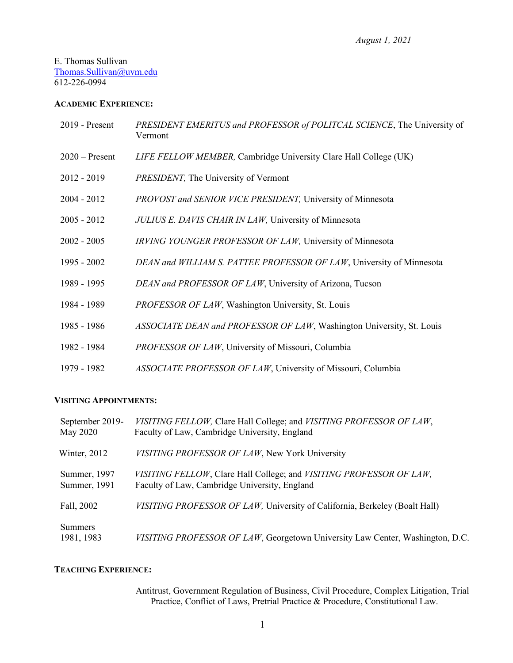#### E. Thomas Sullivan [Thomas.Sullivan@uvm.edu](mailto:Thomas.Sullivan@uvm.edu) 612-226-0994

#### **ACADEMIC EXPERIENCE:**

| $2019$ - Present | PRESIDENT EMERITUS and PROFESSOR of POLITCAL SCIENCE, The University of<br>Vermont |
|------------------|------------------------------------------------------------------------------------|
| $2020$ – Present | LIFE FELLOW MEMBER, Cambridge University Clare Hall College (UK)                   |
| $2012 - 2019$    | PRESIDENT, The University of Vermont                                               |
| $2004 - 2012$    | PROVOST and SENIOR VICE PRESIDENT, University of Minnesota                         |
| $2005 - 2012$    | JULIUS E. DAVIS CHAIR IN LAW, University of Minnesota                              |
| $2002 - 2005$    | IRVING YOUNGER PROFESSOR OF LAW, University of Minnesota                           |
| 1995 - 2002      | DEAN and WILLIAM S. PATTEE PROFESSOR OF LAW, University of Minnesota               |
| 1989 - 1995      | DEAN and PROFESSOR OF LAW, University of Arizona, Tucson                           |
| 1984 - 1989      | PROFESSOR OF LAW, Washington University, St. Louis                                 |
| 1985 - 1986      | ASSOCIATE DEAN and PROFESSOR OF LAW, Washington University, St. Louis              |
| 1982 - 1984      | PROFESSOR OF LAW, University of Missouri, Columbia                                 |
| 1979 - 1982      | ASSOCIATE PROFESSOR OF LAW, University of Missouri, Columbia                       |

#### **VISITING APPOINTMENTS:**

| September 2019-<br>May 2020  | VISITING FELLOW, Clare Hall College; and VISITING PROFESSOR OF LAW,<br>Faculty of Law, Cambridge University, England |
|------------------------------|----------------------------------------------------------------------------------------------------------------------|
| Winter, 2012                 | VISITING PROFESSOR OF LAW, New York University                                                                       |
| Summer, 1997<br>Summer, 1991 | VISITING FELLOW, Clare Hall College; and VISITING PROFESSOR OF LAW,<br>Faculty of Law, Cambridge University, England |
| Fall, 2002                   | VISITING PROFESSOR OF LAW, University of California, Berkeley (Boalt Hall)                                           |
| Summers<br>1981, 1983        | VISITING PROFESSOR OF LAW, Georgetown University Law Center, Washington, D.C.                                        |

### **TEACHING EXPERIENCE:**

Antitrust, Government Regulation of Business, Civil Procedure, Complex Litigation, Trial Practice, Conflict of Laws, Pretrial Practice & Procedure, Constitutional Law.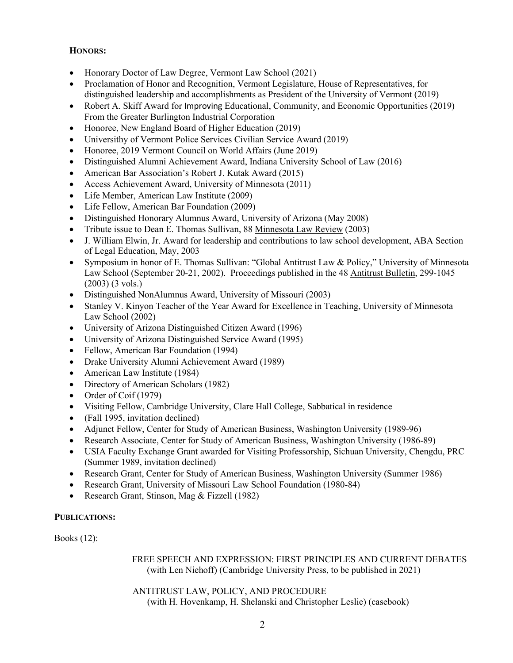### **HONORS:**

- Honorary Doctor of Law Degree, Vermont Law School (2021)
- Proclamation of Honor and Recognition, Vermont Legislature, House of Representatives, for distinguished leadership and accomplishments as President of the University of Vermont (2019)
- Robert A. Skiff Award for Improving Educational, Community, and Economic Opportunities (2019) From the Greater Burlington Industrial Corporation
- Honoree, New England Board of Higher Education (2019)
- Universithy of Vermont Police Services Civilian Service Award (2019)
- Honoree, 2019 Vermont Council on World Affairs (June 2019)
- Distinguished Alumni Achievement Award, Indiana University School of Law (2016)
- American Bar Association's Robert J. Kutak Award (2015)
- Access Achievement Award, University of Minnesota (2011)
- Life Member, American Law Institute (2009)
- Life Fellow, American Bar Foundation (2009)
- Distinguished Honorary Alumnus Award, University of Arizona (May 2008)
- Tribute issue to Dean E. Thomas Sullivan, 88 Minnesota Law Review (2003)
- J. William Elwin, Jr. Award for leadership and contributions to law school development, ABA Section of Legal Education, May, 2003
- Symposium in honor of E. Thomas Sullivan: "Global Antitrust Law & Policy," University of Minnesota Law School (September 20-21, 2002). Proceedings published in the 48 Antitrust Bulletin, 299-1045 (2003) (3 vols.)
- Distinguished NonAlumnus Award, University of Missouri (2003)
- Stanley V. Kinyon Teacher of the Year Award for Excellence in Teaching, University of Minnesota Law School (2002)
- University of Arizona Distinguished Citizen Award (1996)
- University of Arizona Distinguished Service Award (1995)
- Fellow, American Bar Foundation (1994)
- Drake University Alumni Achievement Award (1989)
- American Law Institute (1984)
- Directory of American Scholars (1982)
- Order of Coif (1979)
- Visiting Fellow, Cambridge University, Clare Hall College, Sabbatical in residence
- (Fall 1995, invitation declined)
- Adjunct Fellow, Center for Study of American Business, Washington University (1989-96)
- Research Associate, Center for Study of American Business, Washington University (1986-89)
- USIA Faculty Exchange Grant awarded for Visiting Professorship, Sichuan University, Chengdu, PRC (Summer 1989, invitation declined)
- Research Grant, Center for Study of American Business, Washington University (Summer 1986)
- Research Grant, University of Missouri Law School Foundation (1980-84)
- Research Grant, Stinson, Mag & Fizzell (1982)

### **PUBLICATIONS:**

Books (12):

 FREE SPEECH AND EXPRESSION: FIRST PRINCIPLES AND CURRENT DEBATES (with Len Niehoff) (Cambridge University Press, to be published in 2021)

 ANTITRUST LAW, POLICY, AND PROCEDURE (with H. Hovenkamp, H. Shelanski and Christopher Leslie) (casebook)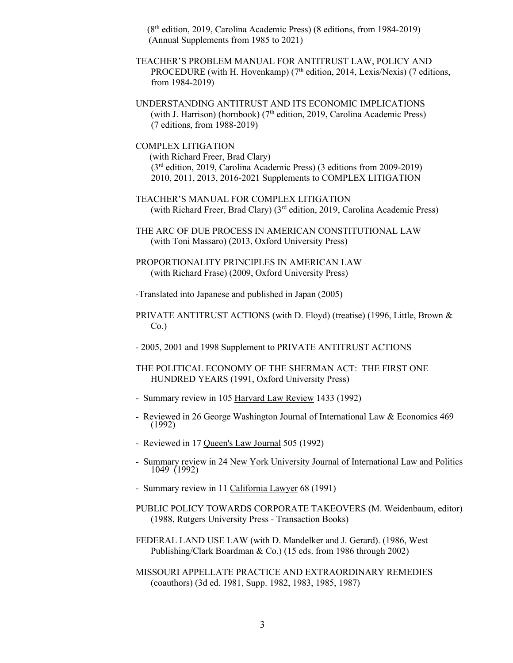(8th edition, 2019, Carolina Academic Press) (8 editions, from 1984-2019) (Annual Supplements from 1985 to 2021)

TEACHER'S PROBLEM MANUAL FOR ANTITRUST LAW, POLICY AND PROCEDURE (with H. Hovenkamp) ( $7<sup>th</sup>$  edition, 2014, Lexis/Nexis) (7 editions, from 1984-2019)

UNDERSTANDING ANTITRUST AND ITS ECONOMIC IMPLICATIONS (with J. Harrison) (hornbook) ( $7<sup>th</sup>$  edition, 2019, Carolina Academic Press) (7 editions, from 1988-2019)

COMPLEX LITIGATION (with Richard Freer, Brad Clary) (3rd edition, 2019, Carolina Academic Press) (3 editions from 2009-2019) 2010, 2011, 2013, 2016-2021 Supplements to COMPLEX LITIGATION

- TEACHER'S MANUAL FOR COMPLEX LITIGATION (with Richard Freer, Brad Clary) (3rd edition, 2019, Carolina Academic Press)
- THE ARC OF DUE PROCESS IN AMERICAN CONSTITUTIONAL LAW (with Toni Massaro) (2013, Oxford University Press)
- PROPORTIONALITY PRINCIPLES IN AMERICAN LAW (with Richard Frase) (2009, Oxford University Press)

-Translated into Japanese and published in Japan (2005)

- PRIVATE ANTITRUST ACTIONS (with D. Floyd) (treatise) (1996, Little, Brown &  $Co.$ )
- 2005, 2001 and 1998 Supplement to PRIVATE ANTITRUST ACTIONS
- THE POLITICAL ECONOMY OF THE SHERMAN ACT: THE FIRST ONE HUNDRED YEARS (1991, Oxford University Press)
- Summary review in 105 Harvard Law Review 1433 (1992)
- Reviewed in 26 George Washington Journal of International Law & Economics 469 (1992)
- Reviewed in 17 Queen's Law Journal 505 (1992)
- Summary review in 24 New York University Journal of International Law and Politics 1049 (1992)
- Summary review in 11 California Lawyer 68 (1991)
- PUBLIC POLICY TOWARDS CORPORATE TAKEOVERS (M. Weidenbaum, editor) (1988, Rutgers University Press - Transaction Books)
- FEDERAL LAND USE LAW (with D. Mandelker and J. Gerard). (1986, West Publishing/Clark Boardman & Co.) (15 eds. from 1986 through 2002)
- MISSOURI APPELLATE PRACTICE AND EXTRAORDINARY REMEDIES (coauthors) (3d ed. 1981, Supp. 1982, 1983, 1985, 1987)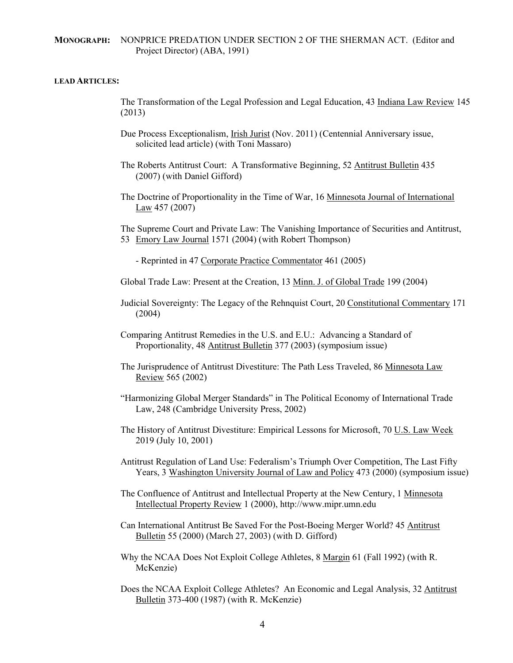#### **MONOGRAPH:** NONPRICE PREDATION UNDER SECTION 2 OF THE SHERMAN ACT. (Editor and Project Director) (ABA, 1991)

#### **LEAD ARTICLES:**

- The Transformation of the Legal Profession and Legal Education, 43 Indiana Law Review 145 (2013)
- Due Process Exceptionalism, Irish Jurist (Nov. 2011) (Centennial Anniversary issue, solicited lead article) (with Toni Massaro)
- The Roberts Antitrust Court: A Transformative Beginning, 52 Antitrust Bulletin 435 (2007) (with Daniel Gifford)
- The Doctrine of Proportionality in the Time of War, 16 Minnesota Journal of International Law 457 (2007)

The Supreme Court and Private Law: The Vanishing Importance of Securities and Antitrust, 53 Emory Law Journal 1571 (2004) (with Robert Thompson)

- Reprinted in 47 Corporate Practice Commentator 461 (2005)
- Global Trade Law: Present at the Creation, 13 Minn. J. of Global Trade 199 (2004)
- Judicial Sovereignty: The Legacy of the Rehnquist Court, 20 Constitutional Commentary 171 (2004)
- Comparing Antitrust Remedies in the U.S. and E.U.: Advancing a Standard of Proportionality, 48 Antitrust Bulletin 377 (2003) (symposium issue)
- The Jurisprudence of Antitrust Divestiture: The Path Less Traveled, 86 Minnesota Law Review 565 (2002)
- "Harmonizing Global Merger Standards" in The Political Economy of International Trade Law, 248 (Cambridge University Press, 2002)
- The History of Antitrust Divestiture: Empirical Lessons for Microsoft, 70 U.S. Law Week 2019 (July 10, 2001)
- Antitrust Regulation of Land Use: Federalism's Triumph Over Competition, The Last Fifty Years, 3 Washington University Journal of Law and Policy 473 (2000) (symposium issue)
- The Confluence of Antitrust and Intellectual Property at the New Century, 1 Minnesota Intellectual Property Review 1 (2000), http://www.mipr.umn.edu
- Can International Antitrust Be Saved For the Post-Boeing Merger World? 45 Antitrust Bulletin 55 (2000) (March 27, 2003) (with D. Gifford)
- Why the NCAA Does Not Exploit College Athletes, 8 Margin 61 (Fall 1992) (with R. McKenzie)
- Does the NCAA Exploit College Athletes? An Economic and Legal Analysis, 32 Antitrust Bulletin 373-400 (1987) (with R. McKenzie)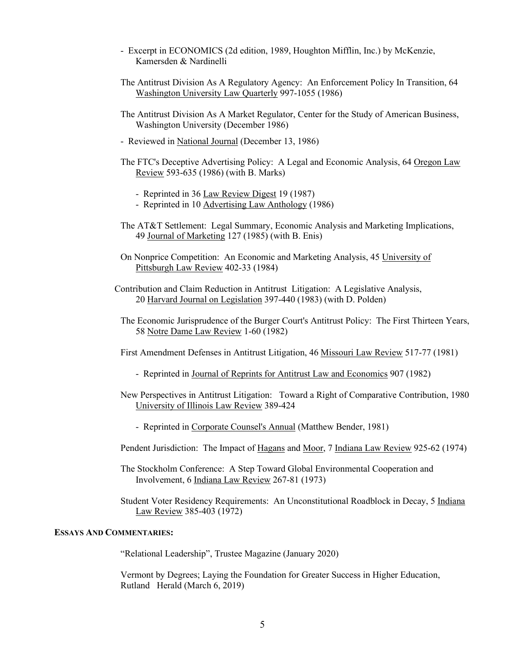- Excerpt in ECONOMICS (2d edition, 1989, Houghton Mifflin, Inc.) by McKenzie, Kamersden & Nardinelli
- The Antitrust Division As A Regulatory Agency: An Enforcement Policy In Transition, 64 Washington University Law Quarterly 997-1055 (1986)
- The Antitrust Division As A Market Regulator, Center for the Study of American Business, Washington University (December 1986)
- Reviewed in National Journal (December 13, 1986)
- The FTC's Deceptive Advertising Policy: A Legal and Economic Analysis, 64 Oregon Law Review 593-635 (1986) (with B. Marks)
	- Reprinted in 36 Law Review Digest 19 (1987)
	- Reprinted in 10 Advertising Law Anthology (1986)
- The AT&T Settlement: Legal Summary, Economic Analysis and Marketing Implications, 49 Journal of Marketing 127 (1985) (with B. Enis)
- On Nonprice Competition: An Economic and Marketing Analysis, 45 University of Pittsburgh Law Review 402-33 (1984)
- Contribution and Claim Reduction in Antitrust Litigation: A Legislative Analysis, 20 Harvard Journal on Legislation 397-440 (1983) (with D. Polden)
	- The Economic Jurisprudence of the Burger Court's Antitrust Policy: The First Thirteen Years, 58 Notre Dame Law Review 1-60 (1982)
	- First Amendment Defenses in Antitrust Litigation, 46 Missouri Law Review 517-77 (1981)
		- Reprinted in Journal of Reprints for Antitrust Law and Economics 907 (1982)
- New Perspectives in Antitrust Litigation: Toward a Right of Comparative Contribution, 1980 University of Illinois Law Review 389-424
	- Reprinted in Corporate Counsel's Annual (Matthew Bender, 1981)
- Pendent Jurisdiction: The Impact of Hagans and Moor, 7 Indiana Law Review 925-62 (1974)
- The Stockholm Conference: A Step Toward Global Environmental Cooperation and Involvement, 6 Indiana Law Review 267-81 (1973)
- Student Voter Residency Requirements: An Unconstitutional Roadblock in Decay, 5 Indiana Law Review 385-403 (1972)

#### **ESSAYS AND COMMENTARIES:**

"Relational Leadership", Trustee Magazine (January 2020)

Vermont by Degrees; Laying the Foundation for Greater Success in Higher Education, Rutland Herald (March 6, 2019)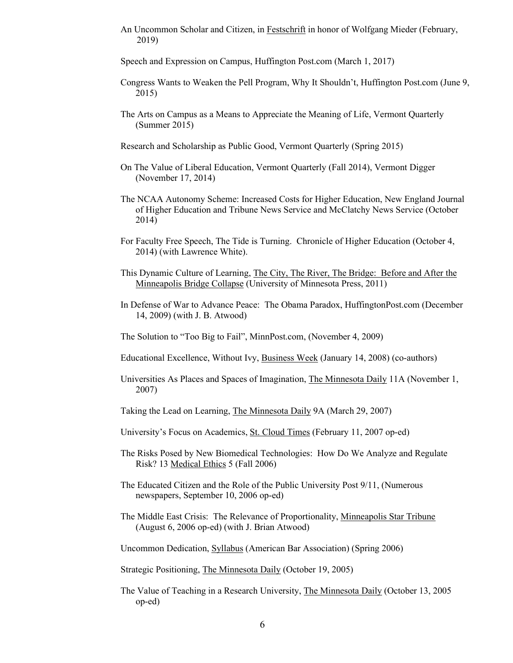An Uncommon Scholar and Citizen, in Festschrift in honor of Wolfgang Mieder (February, 2019)

Speech and Expression on Campus, Huffington Post.com (March 1, 2017)

- Congress Wants to Weaken the Pell Program, Why It Shouldn't, Huffington Post.com (June 9, 2015)
- The Arts on Campus as a Means to Appreciate the Meaning of Life, Vermont Quarterly (Summer 2015)
- Research and Scholarship as Public Good, Vermont Quarterly (Spring 2015)
- On The Value of Liberal Education, Vermont Quarterly (Fall 2014), Vermont Digger (November 17, 2014)
- The NCAA Autonomy Scheme: Increased Costs for Higher Education, New England Journal of Higher Education and Tribune News Service and McClatchy News Service (October 2014)
- For Faculty Free Speech, The Tide is Turning. Chronicle of Higher Education (October 4, 2014) (with Lawrence White).
- This Dynamic Culture of Learning, The City, The River, The Bridge: Before and After the Minneapolis Bridge Collapse (University of Minnesota Press, 2011)
- In Defense of War to Advance Peace: The Obama Paradox, HuffingtonPost.com (December 14, 2009) (with J. B. Atwood)
- The Solution to "Too Big to Fail", MinnPost.com, (November 4, 2009)
- Educational Excellence, Without Ivy, Business Week (January 14, 2008) (co-authors)
- Universities As Places and Spaces of Imagination, The Minnesota Daily 11A (November 1, 2007)
- Taking the Lead on Learning, The Minnesota Daily 9A (March 29, 2007)
- University's Focus on Academics, St. Cloud Times (February 11, 2007 op-ed)
- The Risks Posed by New Biomedical Technologies: How Do We Analyze and Regulate Risk? 13 Medical Ethics 5 (Fall 2006)
- The Educated Citizen and the Role of the Public University Post 9/11, (Numerous newspapers, September 10, 2006 op-ed)
- The Middle East Crisis: The Relevance of Proportionality, Minneapolis Star Tribune (August 6, 2006 op-ed) (with J. Brian Atwood)
- Uncommon Dedication, Syllabus (American Bar Association) (Spring 2006)

Strategic Positioning, The Minnesota Daily (October 19, 2005)

The Value of Teaching in a Research University, The Minnesota Daily (October 13, 2005 op-ed)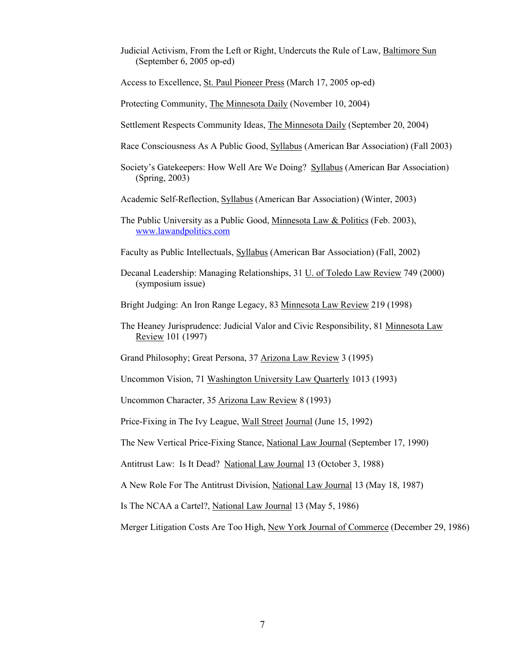Judicial Activism, From the Left or Right, Undercuts the Rule of Law, Baltimore Sun (September 6, 2005 op-ed)

Access to Excellence, St. Paul Pioneer Press (March 17, 2005 op-ed)

Protecting Community, The Minnesota Daily (November 10, 2004)

- Settlement Respects Community Ideas, The Minnesota Daily (September 20, 2004)
- Race Consciousness As A Public Good, Syllabus (American Bar Association) (Fall 2003)
- Society's Gatekeepers: How Well Are We Doing? Syllabus (American Bar Association) (Spring, 2003)

Academic Self-Reflection, Syllabus (American Bar Association) (Winter, 2003)

The Public University as a Public Good, Minnesota Law & Politics (Feb. 2003), [www.lawandpolitics.com](http://www.lawandpolitics.com/)

Faculty as Public Intellectuals, Syllabus (American Bar Association) (Fall, 2002)

Decanal Leadership: Managing Relationships, 31 U. of Toledo Law Review 749 (2000) (symposium issue)

Bright Judging: An Iron Range Legacy, 83 Minnesota Law Review 219 (1998)

The Heaney Jurisprudence: Judicial Valor and Civic Responsibility, 81 Minnesota Law Review 101 (1997)

Grand Philosophy; Great Persona, 37 Arizona Law Review 3 (1995)

Uncommon Vision, 71 Washington University Law Quarterly 1013 (1993)

Uncommon Character, 35 Arizona Law Review 8 (1993)

Price-Fixing in The Ivy League, Wall Street Journal (June 15, 1992)

The New Vertical Price-Fixing Stance, National Law Journal (September 17, 1990)

Antitrust Law: Is It Dead? National Law Journal 13 (October 3, 1988)

A New Role For The Antitrust Division, National Law Journal 13 (May 18, 1987)

Is The NCAA a Cartel?, National Law Journal 13 (May 5, 1986)

Merger Litigation Costs Are Too High, New York Journal of Commerce (December 29, 1986)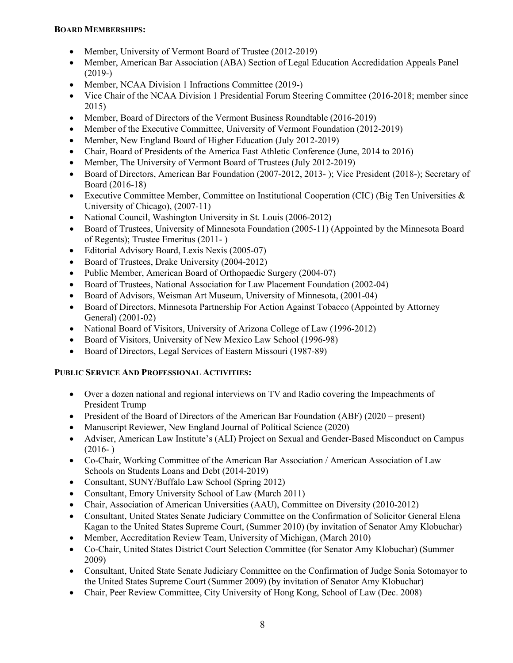### **BOARD MEMBERSHIPS:**

- Member, University of Vermont Board of Trustee (2012-2019)
- Member, American Bar Association (ABA) Section of Legal Education Accredidation Appeals Panel (2019-)
- Member, NCAA Division 1 Infractions Committee (2019-)
- Vice Chair of the NCAA Division 1 Presidential Forum Steering Committee (2016-2018; member since 2015)
- Member, Board of Directors of the Vermont Business Roundtable (2016-2019)
- Member of the Executive Committee, University of Vermont Foundation (2012-2019)
- Member, New England Board of Higher Education (July 2012-2019)
- Chair, Board of Presidents of the America East Athletic Conference (June, 2014 to 2016)
- Member, The University of Vermont Board of Trustees (July 2012-2019)
- Board of Directors, American Bar Foundation (2007-2012, 2013- ); Vice President (2018-); Secretary of Board (2016-18)
- Executive Committee Member, Committee on Institutional Cooperation (CIC) (Big Ten Universities & University of Chicago), (2007-11)
- National Council, Washington University in St. Louis (2006-2012)
- Board of Trustees, University of Minnesota Foundation (2005-11) (Appointed by the Minnesota Board of Regents); Trustee Emeritus (2011- )
- Editorial Advisory Board, Lexis Nexis (2005-07)
- Board of Trustees, Drake University (2004-2012)
- Public Member, American Board of Orthopaedic Surgery (2004-07)
- Board of Trustees, National Association for Law Placement Foundation (2002-04)
- Board of Advisors, Weisman Art Museum, University of Minnesota, (2001-04)
- Board of Directors, Minnesota Partnership For Action Against Tobacco (Appointed by Attorney General) (2001-02)
- National Board of Visitors, University of Arizona College of Law (1996-2012)
- Board of Visitors, University of New Mexico Law School (1996-98)
- Board of Directors, Legal Services of Eastern Missouri (1987-89)

### **PUBLIC SERVICE AND PROFESSIONAL ACTIVITIES:**

- Over a dozen national and regional interviews on TV and Radio covering the Impeachments of President Trump
- President of the Board of Directors of the American Bar Foundation (ABF) (2020 present)
- Manuscript Reviewer, New England Journal of Political Science (2020)
- Adviser, American Law Institute's (ALI) Project on Sexual and Gender-Based Misconduct on Campus  $(2016- )$
- Co-Chair, Working Committee of the American Bar Association / American Association of Law Schools on Students Loans and Debt (2014-2019)
- Consultant, SUNY/Buffalo Law School (Spring 2012)
- Consultant, Emory University School of Law (March 2011)
- Chair, Association of American Universities (AAU), Committee on Diversity (2010-2012)
- Consultant, United States Senate Judiciary Committee on the Confirmation of Solicitor General Elena Kagan to the United States Supreme Court, (Summer 2010) (by invitation of Senator Amy Klobuchar)
- Member, Accreditation Review Team, University of Michigan, (March 2010)
- Co-Chair, United States District Court Selection Committee (for Senator Amy Klobuchar) (Summer 2009)
- Consultant, United State Senate Judiciary Committee on the Confirmation of Judge Sonia Sotomayor to the United States Supreme Court (Summer 2009) (by invitation of Senator Amy Klobuchar)
- Chair, Peer Review Committee, City University of Hong Kong, School of Law (Dec. 2008)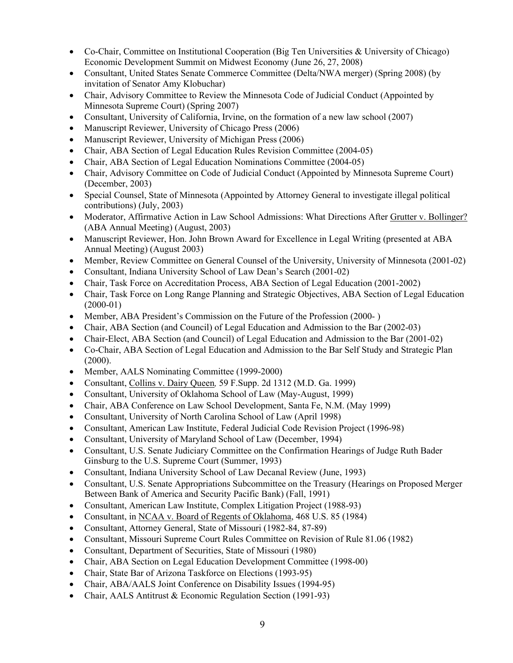- Co-Chair, Committee on Institutional Cooperation (Big Ten Universities & University of Chicago) Economic Development Summit on Midwest Economy (June 26, 27, 2008)
- Consultant, United States Senate Commerce Committee (Delta/NWA merger) (Spring 2008) (by invitation of Senator Amy Klobuchar)
- Chair, Advisory Committee to Review the Minnesota Code of Judicial Conduct (Appointed by Minnesota Supreme Court) (Spring 2007)
- Consultant, University of California, Irvine, on the formation of a new law school (2007)
- Manuscript Reviewer, University of Chicago Press (2006)
- Manuscript Reviewer, University of Michigan Press (2006)
- Chair, ABA Section of Legal Education Rules Revision Committee (2004-05)
- Chair, ABA Section of Legal Education Nominations Committee (2004-05)
- Chair, Advisory Committee on Code of Judicial Conduct (Appointed by Minnesota Supreme Court) (December, 2003)
- Special Counsel, State of Minnesota (Appointed by Attorney General to investigate illegal political contributions) (July, 2003)
- Moderator, Affirmative Action in Law School Admissions: What Directions After Grutter v. Bollinger? (ABA Annual Meeting) (August, 2003)
- Manuscript Reviewer, Hon. John Brown Award for Excellence in Legal Writing (presented at ABA Annual Meeting) (August 2003)
- Member, Review Committee on General Counsel of the University, University of Minnesota (2001-02)
- Consultant, Indiana University School of Law Dean's Search (2001-02)
- Chair, Task Force on Accreditation Process, ABA Section of Legal Education (2001-2002)
- Chair, Task Force on Long Range Planning and Strategic Objectives, ABA Section of Legal Education (2000-01)
- Member, ABA President's Commission on the Future of the Profession (2000-)
- Chair, ABA Section (and Council) of Legal Education and Admission to the Bar (2002-03)
- Chair-Elect, ABA Section (and Council) of Legal Education and Admission to the Bar (2001-02)
- Co-Chair, ABA Section of Legal Education and Admission to the Bar Self Study and Strategic Plan (2000).
- Member, AALS Nominating Committee (1999-2000)
- Consultant, Collins v. Dairy Queen*,* 59 F.Supp. 2d 1312 (M.D. Ga. 1999)
- Consultant, University of Oklahoma School of Law (May-August, 1999)
- Chair, ABA Conference on Law School Development, Santa Fe, N.M. (May 1999)
- Consultant, University of North Carolina School of Law (April 1998)
- Consultant, American Law Institute, Federal Judicial Code Revision Project (1996-98)
- Consultant, University of Maryland School of Law (December, 1994)
- Consultant, U.S. Senate Judiciary Committee on the Confirmation Hearings of Judge Ruth Bader Ginsburg to the U.S. Supreme Court (Summer, 1993)
- Consultant, Indiana University School of Law Decanal Review (June, 1993)
- Consultant, U.S. Senate Appropriations Subcommittee on the Treasury (Hearings on Proposed Merger Between Bank of America and Security Pacific Bank) (Fall, 1991)
- Consultant, American Law Institute, Complex Litigation Project (1988-93)
- Consultant, in NCAA v. Board of Regents of Oklahoma, 468 U.S. 85 (1984)
- Consultant, Attorney General, State of Missouri (1982-84, 87-89)
- Consultant, Missouri Supreme Court Rules Committee on Revision of Rule 81.06 (1982)
- Consultant, Department of Securities, State of Missouri (1980)
- Chair, ABA Section on Legal Education Development Committee (1998-00)
- Chair, State Bar of Arizona Taskforce on Elections (1993-95)
- Chair, ABA/AALS Joint Conference on Disability Issues (1994-95)
- Chair, AALS Antitrust & Economic Regulation Section (1991-93)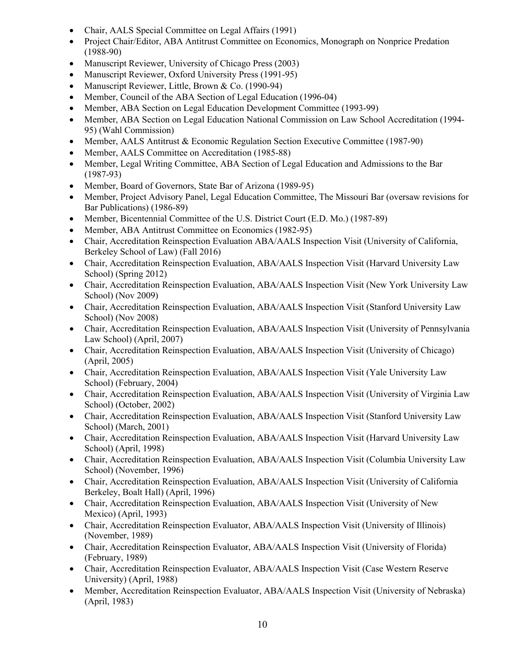- Chair, AALS Special Committee on Legal Affairs (1991)
- Project Chair/Editor, ABA Antitrust Committee on Economics, Monograph on Nonprice Predation (1988-90)
- Manuscript Reviewer, University of Chicago Press (2003)
- Manuscript Reviewer, Oxford University Press (1991-95)
- Manuscript Reviewer, Little, Brown & Co. (1990-94)
- Member, Council of the ABA Section of Legal Education (1996-04)
- Member, ABA Section on Legal Education Development Committee (1993-99)
- Member, ABA Section on Legal Education National Commission on Law School Accreditation (1994-95) (Wahl Commission)
- Member, AALS Antitrust & Economic Regulation Section Executive Committee (1987-90)
- Member, AALS Committee on Accreditation (1985-88)
- Member, Legal Writing Committee, ABA Section of Legal Education and Admissions to the Bar (1987-93)
- Member, Board of Governors, State Bar of Arizona (1989-95)
- Member, Project Advisory Panel, Legal Education Committee, The Missouri Bar (oversaw revisions for Bar Publications) (1986-89)
- Member, Bicentennial Committee of the U.S. District Court (E.D. Mo.) (1987-89)
- Member, ABA Antitrust Committee on Economics (1982-95)
- Chair, Accreditation Reinspection Evaluation ABA/AALS Inspection Visit (University of California, Berkeley School of Law) (Fall 2016)
- Chair, Accreditation Reinspection Evaluation, ABA/AALS Inspection Visit (Harvard University Law School) (Spring 2012)
- Chair, Accreditation Reinspection Evaluation, ABA/AALS Inspection Visit (New York University Law School) (Nov 2009)
- Chair, Accreditation Reinspection Evaluation, ABA/AALS Inspection Visit (Stanford University Law School) (Nov 2008)
- Chair, Accreditation Reinspection Evaluation, ABA/AALS Inspection Visit (University of Pennsylvania Law School) (April, 2007)
- Chair, Accreditation Reinspection Evaluation, ABA/AALS Inspection Visit (University of Chicago) (April, 2005)
- Chair, Accreditation Reinspection Evaluation, ABA/AALS Inspection Visit (Yale University Law School) (February, 2004)
- Chair, Accreditation Reinspection Evaluation, ABA/AALS Inspection Visit (University of Virginia Law School) (October, 2002)
- Chair, Accreditation Reinspection Evaluation, ABA/AALS Inspection Visit (Stanford University Law School) (March, 2001)
- Chair, Accreditation Reinspection Evaluation, ABA/AALS Inspection Visit (Harvard University Law School) (April, 1998)
- Chair, Accreditation Reinspection Evaluation, ABA/AALS Inspection Visit (Columbia University Law School) (November, 1996)
- Chair, Accreditation Reinspection Evaluation, ABA/AALS Inspection Visit (University of California Berkeley, Boalt Hall) (April, 1996)
- Chair, Accreditation Reinspection Evaluation, ABA/AALS Inspection Visit (University of New Mexico) (April, 1993)
- Chair, Accreditation Reinspection Evaluator, ABA/AALS Inspection Visit (University of Illinois) (November, 1989)
- Chair, Accreditation Reinspection Evaluator, ABA/AALS Inspection Visit (University of Florida) (February, 1989)
- Chair, Accreditation Reinspection Evaluator, ABA/AALS Inspection Visit (Case Western Reserve University) (April, 1988)
- Member, Accreditation Reinspection Evaluator, ABA/AALS Inspection Visit (University of Nebraska) (April, 1983)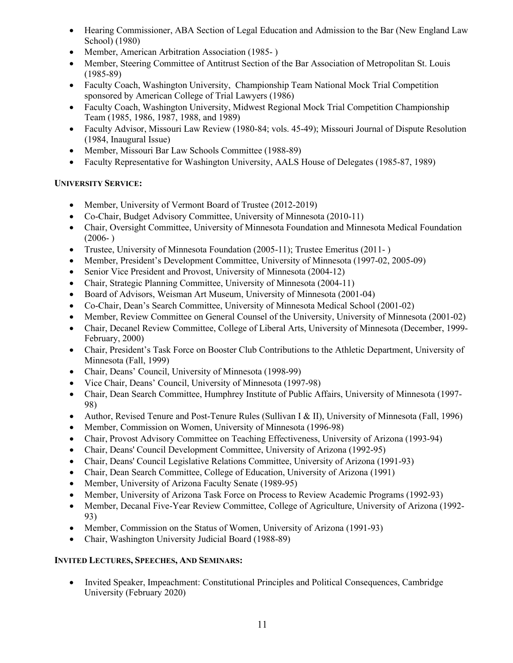- Hearing Commissioner, ABA Section of Legal Education and Admission to the Bar (New England Law) School) (1980)
- Member, American Arbitration Association (1985- )
- Member, Steering Committee of Antitrust Section of the Bar Association of Metropolitan St. Louis (1985-89)
- Faculty Coach, Washington University, Championship Team National Mock Trial Competition sponsored by American College of Trial Lawyers (1986)
- Faculty Coach, Washington University, Midwest Regional Mock Trial Competition Championship Team (1985, 1986, 1987, 1988, and 1989)
- Faculty Advisor, Missouri Law Review (1980-84; vols. 45-49); Missouri Journal of Dispute Resolution (1984, Inaugural Issue)
- Member, Missouri Bar Law Schools Committee (1988-89)
- Faculty Representative for Washington University, AALS House of Delegates (1985-87, 1989)

# **UNIVERSITY SERVICE:**

- Member, University of Vermont Board of Trustee (2012-2019)
- Co-Chair, Budget Advisory Committee, University of Minnesota (2010-11)
- Chair, Oversight Committee, University of Minnesota Foundation and Minnesota Medical Foundation  $(2006- )$
- Trustee, University of Minnesota Foundation (2005-11); Trustee Emeritus (2011- )
- Member, President's Development Committee, University of Minnesota (1997-02, 2005-09)
- Senior Vice President and Provost, University of Minnesota (2004-12)
- Chair, Strategic Planning Committee, University of Minnesota (2004-11)
- Board of Advisors, Weisman Art Museum, University of Minnesota (2001-04)
- Co-Chair, Dean's Search Committee, University of Minnesota Medical School (2001-02)
- Member, Review Committee on General Counsel of the University, University of Minnesota (2001-02)
- Chair, Decanel Review Committee, College of Liberal Arts, University of Minnesota (December, 1999- February, 2000)
- Chair, President's Task Force on Booster Club Contributions to the Athletic Department, University of Minnesota (Fall, 1999)
- Chair, Deans' Council, University of Minnesota (1998-99)
- Vice Chair, Deans' Council, University of Minnesota (1997-98)
- Chair, Dean Search Committee, Humphrey Institute of Public Affairs, University of Minnesota (1997- 98)
- Author, Revised Tenure and Post-Tenure Rules (Sullivan I & II), University of Minnesota (Fall, 1996)
- Member, Commission on Women, University of Minnesota (1996-98)
- Chair, Provost Advisory Committee on Teaching Effectiveness, University of Arizona (1993-94)
- Chair, Deans' Council Development Committee, University of Arizona (1992-95)
- Chair, Deans' Council Legislative Relations Committee, University of Arizona (1991-93)
- Chair, Dean Search Committee, College of Education, University of Arizona (1991)
- Member, University of Arizona Faculty Senate (1989-95)
- Member, University of Arizona Task Force on Process to Review Academic Programs (1992-93)
- Member, Decanal Five-Year Review Committee, College of Agriculture, University of Arizona (1992-93)
- Member, Commission on the Status of Women, University of Arizona (1991-93)
- Chair, Washington University Judicial Board (1988-89)

# **INVITED LECTURES, SPEECHES, AND SEMINARS:**

•Invited Speaker, Impeachment: Constitutional Principles and Political Consequences, Cambridge University (February 2020)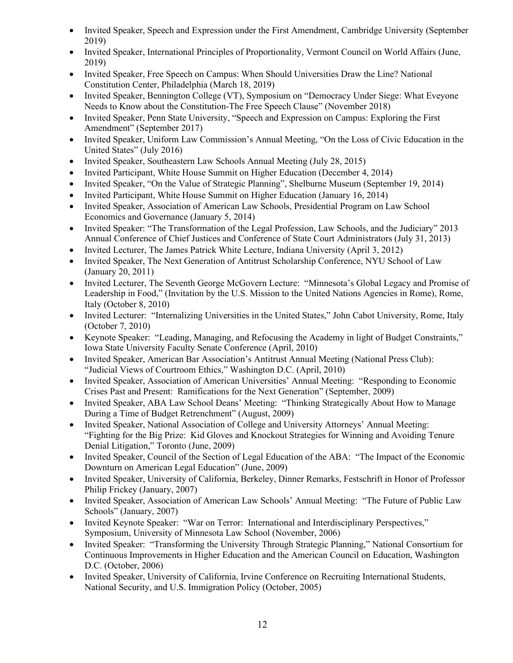- Invited Speaker, Speech and Expression under the First Amendment, Cambridge University (September 2019)
- Invited Speaker, International Principles of Proportionality, Vermont Council on World Affairs (June, 2019)
- Invited Speaker, Free Speech on Campus: When Should Universities Draw the Line? National Constitution Center, Philadelphia (March 18, 2019)
- Invited Speaker, Bennington College (VT), Symposium on "Democracy Under Siege: What Eveyone Needs to Know about the Constitution-The Free Speech Clause" (November 2018)
- Invited Speaker, Penn State University, "Speech and Expression on Campus: Exploring the First Amendment" (September 2017)
- Invited Speaker, Uniform Law Commission's Annual Meeting, "On the Loss of Civic Education in the United States" (July 2016)
- Invited Speaker, Southeastern Law Schools Annual Meeting (July 28, 2015)
- Invited Participant, White House Summit on Higher Education (December 4, 2014)
- Invited Speaker, "On the Value of Strategic Planning", Shelburne Museum (September 19, 2014)
- Invited Participant, White House Summit on Higher Education (January 16, 2014)
- Invited Speaker, Association of American Law Schools, Presidential Program on Law School Economics and Governance (January 5, 2014)
- Invited Speaker: "The Transformation of the Legal Profession, Law Schools, and the Judiciary" 2013 Annual Conference of Chief Justices and Conference of State Court Administrators (July 31, 2013)
- Invited Lecturer, The James Patrick White Lecture, Indiana University (April 3, 2012)
- Invited Speaker, The Next Generation of Antitrust Scholarship Conference, NYU School of Law (January 20, 2011)
- Invited Lecturer, The Seventh George McGovern Lecture: "Minnesota's Global Legacy and Promise of Leadership in Food," (Invitation by the U.S. Mission to the United Nations Agencies in Rome), Rome, Italy (October 8, 2010)
- Invited Lecturer: "Internalizing Universities in the United States," John Cabot University, Rome, Italy (October 7, 2010)
- Keynote Speaker: "Leading, Managing, and Refocusing the Academy in light of Budget Constraints," Iowa State University Faculty Senate Conference (April, 2010)
- Invited Speaker, American Bar Association's Antitrust Annual Meeting (National Press Club): "Judicial Views of Courtroom Ethics," Washington D.C. (April, 2010)
- Invited Speaker, Association of American Universities' Annual Meeting: "Responding to Economic Crises Past and Present: Ramifications for the Next Generation" (September, 2009)
- Invited Speaker, ABA Law School Deans' Meeting: "Thinking Strategically About How to Manage During a Time of Budget Retrenchment" (August, 2009)
- Invited Speaker, National Association of College and University Attorneys' Annual Meeting: "Fighting for the Big Prize: Kid Gloves and Knockout Strategies for Winning and Avoiding Tenure Denial Litigation," Toronto (June, 2009)
- Invited Speaker, Council of the Section of Legal Education of the ABA: "The Impact of the Economic Downturn on American Legal Education" (June, 2009)
- Invited Speaker, University of California, Berkeley, Dinner Remarks, Festschrift in Honor of Professor Philip Frickey (January, 2007)
- Invited Speaker, Association of American Law Schools' Annual Meeting: "The Future of Public Law Schools" (January, 2007)
- Invited Keynote Speaker: "War on Terror: International and Interdisciplinary Perspectives," Symposium, University of Minnesota Law School (November, 2006)
- Invited Speaker: "Transforming the University Through Strategic Planning," National Consortium for Continuous Improvements in Higher Education and the American Council on Education, Washington D.C. (October, 2006)
- Invited Speaker, University of California, Irvine Conference on Recruiting International Students, National Security, and U.S. Immigration Policy (October, 2005)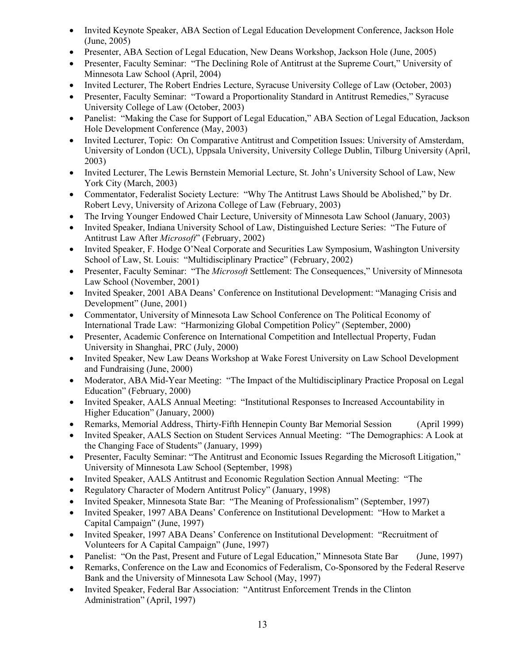- Invited Keynote Speaker, ABA Section of Legal Education Development Conference, Jackson Hole (June, 2005)
- Presenter, ABA Section of Legal Education, New Deans Workshop, Jackson Hole (June, 2005)
- Presenter, Faculty Seminar: "The Declining Role of Antitrust at the Supreme Court," University of Minnesota Law School (April, 2004)
- Invited Lecturer, The Robert Endries Lecture, Syracuse University College of Law (October, 2003)
- Presenter, Faculty Seminar: "Toward a Proportionality Standard in Antitrust Remedies," Syracuse University College of Law (October, 2003)
- Panelist: "Making the Case for Support of Legal Education," ABA Section of Legal Education, Jackson Hole Development Conference (May, 2003)
- Invited Lecturer, Topic: On Comparative Antitrust and Competition Issues: University of Amsterdam, University of London (UCL), Uppsala University, University College Dublin, Tilburg University (April, 2003)
- Invited Lecturer, The Lewis Bernstein Memorial Lecture, St. John's University School of Law, New York City (March, 2003)
- Commentator, Federalist Society Lecture: "Why The Antitrust Laws Should be Abolished," by Dr. Robert Levy, University of Arizona College of Law (February, 2003)
- The Irving Younger Endowed Chair Lecture, University of Minnesota Law School (January, 2003)
- Invited Speaker, Indiana University School of Law, Distinguished Lecture Series: "The Future of Antitrust Law After *Microsoft*" (February, 2002)
- Invited Speaker, F. Hodge O'Neal Corporate and Securities Law Symposium, Washington University School of Law, St. Louis: "Multidisciplinary Practice" (February, 2002)
- Presenter, Faculty Seminar: "The *Microsoft* Settlement: The Consequences," University of Minnesota Law School (November, 2001)
- Invited Speaker, 2001 ABA Deans' Conference on Institutional Development: "Managing Crisis and Development" (June, 2001)
- Commentator, University of Minnesota Law School Conference on The Political Economy of International Trade Law: "Harmonizing Global Competition Policy" (September, 2000)
- Presenter, Academic Conference on International Competition and Intellectual Property, Fudan University in Shanghai, PRC (July, 2000)
- Invited Speaker, New Law Deans Workshop at Wake Forest University on Law School Development and Fundraising (June, 2000)
- Moderator, ABA Mid-Year Meeting: "The Impact of the Multidisciplinary Practice Proposal on Legal Education" (February, 2000)
- Invited Speaker, AALS Annual Meeting: "Institutional Responses to Increased Accountability in Higher Education" (January, 2000)
- Remarks, Memorial Address, Thirty-Fifth Hennepin County Bar Memorial Session (April 1999)
- Invited Speaker, AALS Section on Student Services Annual Meeting: "The Demographics: A Look at the Changing Face of Students" (January, 1999)
- Presenter, Faculty Seminar: "The Antitrust and Economic Issues Regarding the Microsoft Litigation," University of Minnesota Law School (September, 1998)
- Invited Speaker, AALS Antitrust and Economic Regulation Section Annual Meeting: "The
- Regulatory Character of Modern Antitrust Policy" (January, 1998)
- Invited Speaker, Minnesota State Bar: "The Meaning of Professionalism" (September, 1997)
- Invited Speaker, 1997 ABA Deans' Conference on Institutional Development: "How to Market a Capital Campaign" (June, 1997)
- Invited Speaker, 1997 ABA Deans' Conference on Institutional Development: "Recruitment of Volunteers for A Capital Campaign" (June, 1997)
- Panelist: "On the Past, Present and Future of Legal Education," Minnesota State Bar (June, 1997)
- Remarks, Conference on the Law and Economics of Federalism, Co-Sponsored by the Federal Reserve Bank and the University of Minnesota Law School (May, 1997)
- Invited Speaker, Federal Bar Association: "Antitrust Enforcement Trends in the Clinton Administration" (April, 1997)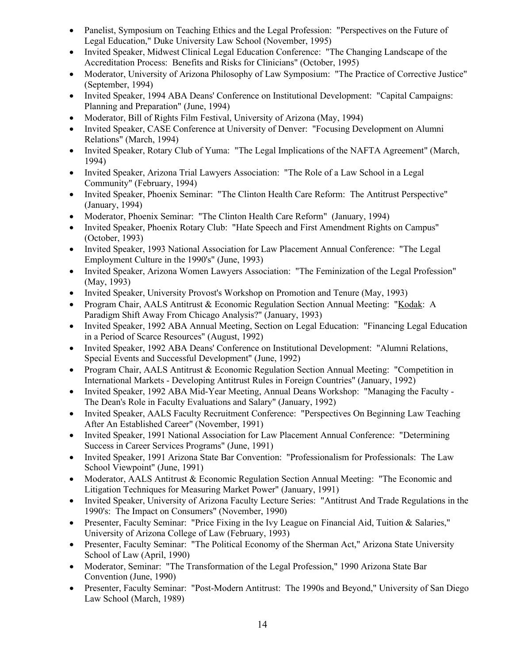- Panelist, Symposium on Teaching Ethics and the Legal Profession: "Perspectives on the Future of Legal Education," Duke University Law School (November, 1995)
- Invited Speaker, Midwest Clinical Legal Education Conference: "The Changing Landscape of the Accreditation Process: Benefits and Risks for Clinicians" (October, 1995)
- Moderator, University of Arizona Philosophy of Law Symposium: "The Practice of Corrective Justice" (September, 1994)
- Invited Speaker, 1994 ABA Deans' Conference on Institutional Development: "Capital Campaigns: Planning and Preparation" (June, 1994)
- Moderator, Bill of Rights Film Festival, University of Arizona (May, 1994)
- Invited Speaker, CASE Conference at University of Denver: "Focusing Development on Alumni Relations" (March, 1994)
- Invited Speaker, Rotary Club of Yuma: "The Legal Implications of the NAFTA Agreement" (March, 1994)
- Invited Speaker, Arizona Trial Lawyers Association: "The Role of a Law School in a Legal Community" (February, 1994)
- Invited Speaker, Phoenix Seminar: "The Clinton Health Care Reform: The Antitrust Perspective" (January, 1994)
- Moderator, Phoenix Seminar: "The Clinton Health Care Reform" (January, 1994)
- Invited Speaker, Phoenix Rotary Club: "Hate Speech and First Amendment Rights on Campus" (October, 1993)
- Invited Speaker, 1993 National Association for Law Placement Annual Conference: "The Legal Employment Culture in the 1990's" (June, 1993)
- Invited Speaker, Arizona Women Lawyers Association: "The Feminization of the Legal Profession" (May, 1993)
- Invited Speaker, University Provost's Workshop on Promotion and Tenure (May, 1993)
- Program Chair, AALS Antitrust & Economic Regulation Section Annual Meeting: "Kodak: A Paradigm Shift Away From Chicago Analysis?" (January, 1993)
- Invited Speaker, 1992 ABA Annual Meeting, Section on Legal Education: "Financing Legal Education in a Period of Scarce Resources" (August, 1992)
- Invited Speaker, 1992 ABA Deans' Conference on Institutional Development: "Alumni Relations, Special Events and Successful Development" (June, 1992)
- Program Chair, AALS Antitrust & Economic Regulation Section Annual Meeting: "Competition in International Markets - Developing Antitrust Rules in Foreign Countries" (January, 1992)
- Invited Speaker, 1992 ABA Mid-Year Meeting, Annual Deans Workshop: "Managing the Faculty The Dean's Role in Faculty Evaluations and Salary" (January, 1992)
- Invited Speaker, AALS Faculty Recruitment Conference: "Perspectives On Beginning Law Teaching After An Established Career" (November, 1991)
- Invited Speaker, 1991 National Association for Law Placement Annual Conference: "Determining Success in Career Services Programs" (June, 1991)
- Invited Speaker, 1991 Arizona State Bar Convention: "Professionalism for Professionals: The Law School Viewpoint" (June, 1991)
- Moderator, AALS Antitrust & Economic Regulation Section Annual Meeting: "The Economic and Litigation Techniques for Measuring Market Power" (January, 1991)
- Invited Speaker, University of Arizona Faculty Lecture Series: "Antitrust And Trade Regulations in the 1990's: The Impact on Consumers" (November, 1990)
- Presenter, Faculty Seminar: "Price Fixing in the Ivy League on Financial Aid, Tuition & Salaries," University of Arizona College of Law (February, 1993)
- Presenter, Faculty Seminar: "The Political Economy of the Sherman Act," Arizona State University School of Law (April, 1990)
- Moderator, Seminar: "The Transformation of the Legal Profession," 1990 Arizona State Bar Convention (June, 1990)
- Presenter, Faculty Seminar: "Post-Modern Antitrust: The 1990s and Beyond," University of San Diego Law School (March, 1989)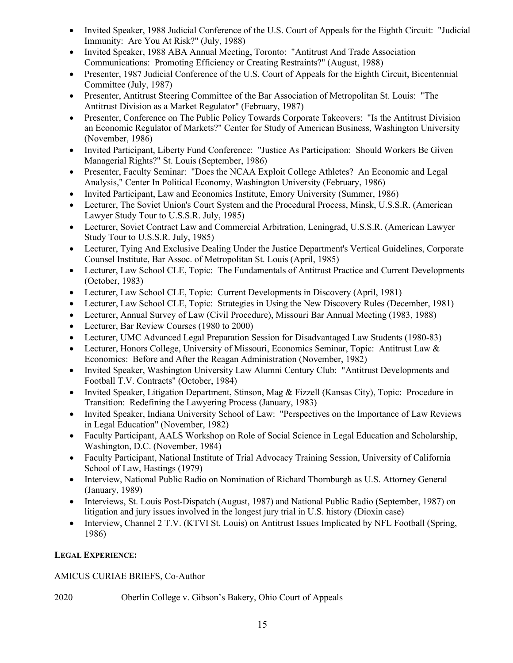- Invited Speaker, 1988 Judicial Conference of the U.S. Court of Appeals for the Eighth Circuit: "Judicial Immunity: Are You At Risk?" (July, 1988)
- Invited Speaker, 1988 ABA Annual Meeting, Toronto: "Antitrust And Trade Association Communications: Promoting Efficiency or Creating Restraints?" (August, 1988)
- Presenter, 1987 Judicial Conference of the U.S. Court of Appeals for the Eighth Circuit, Bicentennial Committee (July, 1987)
- Presenter, Antitrust Steering Committee of the Bar Association of Metropolitan St. Louis: "The Antitrust Division as a Market Regulator" (February, 1987)
- Presenter, Conference on The Public Policy Towards Corporate Takeovers: "Is the Antitrust Division an Economic Regulator of Markets?" Center for Study of American Business, Washington University (November, 1986)
- Invited Participant, Liberty Fund Conference: "Justice As Participation: Should Workers Be Given Managerial Rights?" St. Louis (September, 1986)
- Presenter, Faculty Seminar: "Does the NCAA Exploit College Athletes? An Economic and Legal Analysis," Center In Political Economy, Washington University (February, 1986)
- Invited Participant, Law and Economics Institute, Emory University (Summer, 1986)
- Lecturer, The Soviet Union's Court System and the Procedural Process, Minsk, U.S.S.R. (American Lawyer Study Tour to U.S.S.R. July, 1985)
- Lecturer, Soviet Contract Law and Commercial Arbitration, Leningrad, U.S.S.R. (American Lawyer Study Tour to U.S.S.R. July, 1985)
- Lecturer, Tying And Exclusive Dealing Under the Justice Department's Vertical Guidelines, Corporate Counsel Institute, Bar Assoc. of Metropolitan St. Louis (April, 1985)
- Lecturer, Law School CLE, Topic: The Fundamentals of Antitrust Practice and Current Developments (October, 1983)
- Lecturer, Law School CLE, Topic: Current Developments in Discovery (April, 1981)
- Lecturer, Law School CLE, Topic: Strategies in Using the New Discovery Rules (December, 1981)
- Lecturer, Annual Survey of Law (Civil Procedure), Missouri Bar Annual Meeting (1983, 1988)
- Lecturer, Bar Review Courses (1980 to 2000)
- Lecturer, UMC Advanced Legal Preparation Session for Disadvantaged Law Students (1980-83)
- Lecturer, Honors College, University of Missouri, Economics Seminar, Topic: Antitrust Law & Economics: Before and After the Reagan Administration (November, 1982)
- Invited Speaker, Washington University Law Alumni Century Club: "Antitrust Developments and Football T.V. Contracts" (October, 1984)
- Invited Speaker, Litigation Department, Stinson, Mag & Fizzell (Kansas City), Topic: Procedure in Transition: Redefining the Lawyering Process (January, 1983)
- Invited Speaker, Indiana University School of Law: "Perspectives on the Importance of Law Reviews in Legal Education" (November, 1982)
- Faculty Participant, AALS Workshop on Role of Social Science in Legal Education and Scholarship, Washington, D.C. (November, 1984)
- Faculty Participant, National Institute of Trial Advocacy Training Session, University of California School of Law, Hastings (1979)
- Interview, National Public Radio on Nomination of Richard Thornburgh as U.S. Attorney General (January, 1989)
- Interviews, St. Louis Post-Dispatch (August, 1987) and National Public Radio (September, 1987) on litigation and jury issues involved in the longest jury trial in U.S. history (Dioxin case)
- Interview, Channel 2 T.V. (KTVI St. Louis) on Antitrust Issues Implicated by NFL Football (Spring, 1986)

# **LEGAL EXPERIENCE:**

# AMICUS CURIAE BRIEFS, Co-Author

# 2020 Oberlin College v. Gibson's Bakery, Ohio Court of Appeals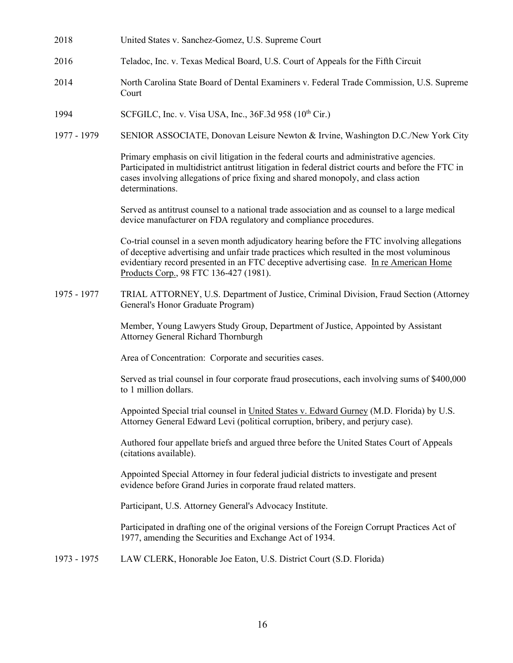- 2018 United States v. Sanchez-Gomez, U.S. Supreme Court
- 2016 Teladoc, Inc. v. Texas Medical Board, U.S. Court of Appeals for the Fifth Circuit
- 2014 North Carolina State Board of Dental Examiners v. Federal Trade Commission, U.S. Supreme Court
- 1994 SCFGILC, Inc. v. Visa USA, Inc., 36F.3d 958 (10<sup>th</sup> Cir.)
- 1977 1979 SENIOR ASSOCIATE, Donovan Leisure Newton & Irvine, Washington D.C./New York City

Primary emphasis on civil litigation in the federal courts and administrative agencies. Participated in multidistrict antitrust litigation in federal district courts and before the FTC in cases involving allegations of price fixing and shared monopoly, and class action determinations.

Served as antitrust counsel to a national trade association and as counsel to a large medical device manufacturer on FDA regulatory and compliance procedures.

Co-trial counsel in a seven month adjudicatory hearing before the FTC involving allegations of deceptive advertising and unfair trade practices which resulted in the most voluminous evidentiary record presented in an FTC deceptive advertising case. In re American Home Products Corp., 98 FTC 136-427 (1981).

1975 - 1977 TRIAL ATTORNEY, U.S. Department of Justice, Criminal Division, Fraud Section (Attorney General's Honor Graduate Program)

> Member, Young Lawyers Study Group, Department of Justice, Appointed by Assistant Attorney General Richard Thornburgh

Area of Concentration: Corporate and securities cases.

Served as trial counsel in four corporate fraud prosecutions, each involving sums of \$400,000 to 1 million dollars.

Appointed Special trial counsel in United States v. Edward Gurney (M.D. Florida) by U.S. Attorney General Edward Levi (political corruption, bribery, and perjury case).

Authored four appellate briefs and argued three before the United States Court of Appeals (citations available).

Appointed Special Attorney in four federal judicial districts to investigate and present evidence before Grand Juries in corporate fraud related matters.

Participant, U.S. Attorney General's Advocacy Institute.

Participated in drafting one of the original versions of the Foreign Corrupt Practices Act of 1977, amending the Securities and Exchange Act of 1934.

1973 - 1975 LAW CLERK, Honorable Joe Eaton, U.S. District Court (S.D. Florida)